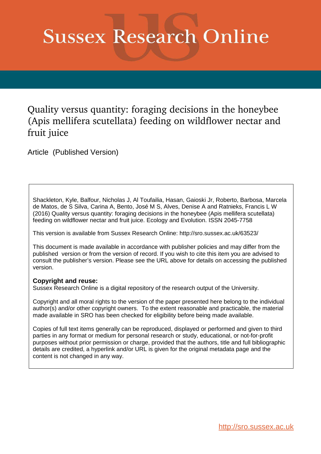# **Sussex Research Online**

Quality versus quantity: foraging decisions in the honeybee (Apis mellifera scutellata) feeding on wildflower nectar and fruit juice

Article (Published Version)

Shackleton, Kyle, Balfour, Nicholas J, Al Toufailia, Hasan, Gaioski Jr, Roberto, Barbosa, Marcela de Matos, de S Silva, Carina A, Bento, José M S, Alves, Denise A and Ratnieks, Francis L W (2016) Quality versus quantity: foraging decisions in the honeybee (Apis mellifera scutellata) feeding on wildflower nectar and fruit juice. Ecology and Evolution. ISSN 2045-7758

This version is available from Sussex Research Online: http://sro.sussex.ac.uk/63523/

This document is made available in accordance with publisher policies and may differ from the published version or from the version of record. If you wish to cite this item you are advised to consult the publisher's version. Please see the URL above for details on accessing the published version.

# **Copyright and reuse:**

Sussex Research Online is a digital repository of the research output of the University.

Copyright and all moral rights to the version of the paper presented here belong to the individual author(s) and/or other copyright owners. To the extent reasonable and practicable, the material made available in SRO has been checked for eligibility before being made available.

Copies of full text items generally can be reproduced, displayed or performed and given to third parties in any format or medium for personal research or study, educational, or not-for-profit purposes without prior permission or charge, provided that the authors, title and full bibliographic details are credited, a hyperlink and/or URL is given for the original metadata page and the content is not changed in any way.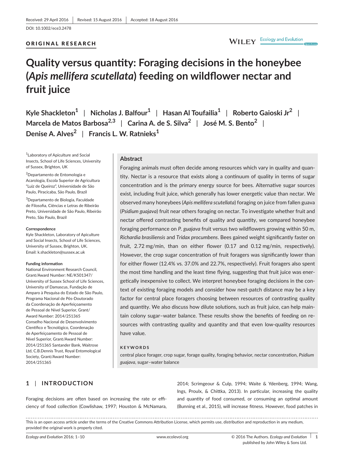#### ORIGINAL RESEARCH

WILEY Ecology and Evolution

# **Quality versus quanity: Foraging decisions in the honeybee (***Apis mellifera scutellata***) feeding on wildlower nectar and fruit juice**

**Kyle Shackleton<sup>1</sup>** | **Nicholas J. Balfour<sup>1</sup>** | **Hasan Al Toufailia<sup>1</sup>** | **Roberto Gaioski Jr<sup>2</sup>** | **Marcela de Matos Barbosa2,3** | **Carina A. de S. Silva<sup>2</sup>** | **José M. S. Bento<sup>2</sup>** | **Denise A. Alves<sup>2</sup>** | **Francis L. W. Ratnieks<sup>1</sup>**

<sup>1</sup> Laboratory of Apiculture and Social Insects, School of Life Sciences, University of Sussex, Brighton, UK

<sup>2</sup>Departamento de Entomologia e Acarologia, Escola Superior de Agricultura "Luiz de Queiroz", Universidade de São Paulo, Piracicaba, São Paulo, Brazil

<sup>3</sup>Departamento de Biologia, Faculdade de Filosofia, Ciências e Letras de Ribeirão Preto, Universidade de São Paulo, Ribeirão Preto, São Paulo, Brazil

#### **Correspondence**

Kyle Shackleton, Laboratory of Apiculture and Social Insects, School of Life Sciences, University of Sussex, Brighton, UK. Email: [k.shackleton@sussex.ac.uk](mailto:k.shackleton@sussex.ac.uk)

#### **Funding informaion**

National Environment Research Council, Grant/Award Number: NE/K501347/ University of Sussex School of Life Sciences, University of Damascus, Fundação de Amparo à Pesquisa do Estado de São Paulo, Programa Nacional de Pós-Doutorado da Coordenação de Aperfeiçoamento de Pessoal de Nível Superior, Grant/ Award Number: 2014/251365 Conselho Nacional de Desenvolvimento Científico e Tecnológico, Coordenação de Aperfeiçoamento de Pessoal de Nível Superior, Grant/Award Number: 2014/251365 Santander Bank, Waitrose Ltd, C.B.Dennis Trust, Royal Entomological Society, Grant/Award Number: 2014/251365

#### **Abstract**

Foraging animals must oten decide among resources which vary in quality and quantity. Nectar is a resource that exists along a continuum of quality in terms of sugar concentration and is the primary energy source for bees. Alternative sugar sources exist, including fruit juice, which generally has lower energetic value than nectar. We observed many honeybees (*Apis mellifera scutellata*) foraging on juice from fallen guava (*Psidium guajava*) fruit near others foraging on nectar. To invesigate whether fruit and nectar offered contrasting benefits of quality and quantity, we compared honeybee foraging performance on *P. guajava* fruit versus two wildflowers growing within 50 m, *Richardia brasiliensis* and *Tridax procumbens*. Bees gained weight signiicantly faster on fruit, 2.72 mg/min, than on either flower (0.17 and 0.12 mg/min, respectively). However, the crop sugar concentration of fruit foragers was significantly lower than for either flower (12.4% vs. 37.0% and 22.7%, respectively). Fruit foragers also spent the most time handling and the least time flying, suggesting that fruit juice was energetically inexpensive to collect. We interpret honeybee foraging decisions in the context of existing foraging models and consider how nest-patch distance may be a key factor for central place foragers choosing between resources of contrasting quality and quantity. We also discuss how dilute solutions, such as fruit juice, can help maintain colony sugar-water balance. These results show the benefits of feeding on resources with contrasting quality and quantity and that even low-quality resources have value.

#### **KEYWORDS**

central place forager, crop sugar, forage quality, foraging behavior, nectar concentraion, *Psidium guajava*, sugar–water balance

# **1** | **INTRODUCTION**

Foraging decisions are often based on increasing the rate or efficiency of food collecion (Cowlishaw, 1997; Houston & McNamara, 2014; Scrimgeour & Culp, 1994; Waite & Ydenberg, 1994; Wang, Ings, Proulx, & Chitka, 2013). In paricular, increasing the quality and quantity of food consumed, or consuming an optimal amount (Bunning et al., 2015), will increase fitness. However, food patches in

This is an open access article under the terms of the Creative Commons Attribution License, which permits use, distribution and reproduction in any medium, provided the original work is properly cited.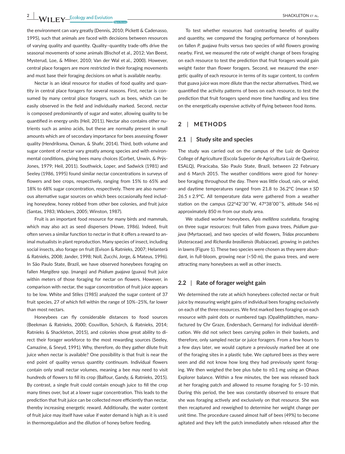the environment can vary greatly (Dennis, 2010; Pickett & Cadenasso, 1995), such that animals are faced with decisions between resources of varying quality and quantity. Quality-quantity trade-offs drive the seasonal movements of some animals (Bischof et al., 2012; Van Beest, Mysterud, Loe, & Milner, 2010; Van der Wal et al., 2000). However, central place foragers are more restricted in their foraging movements and must base their foraging decisions on what is available nearby.

Nectar is an ideal resource for studies of food quality and quantity in central place foragers for several reasons. First, nectar is consumed by many central place foragers, such as bees, which can be easily observed in the field and individually marked. Second, nectar is composed predominantly of sugar and water, allowing quality to be quantified in energy units (Heil, 2011). Nectar also contains other nutrients such as amino acids, but these are normally present in small amounts which are of secondary importance for bees assessing flower quality (Hendriksma, Oxman, & Shafir, 2014). Third, both volume and sugar content of nectar vary greatly among species and with environmental conditions, giving bees many choices (Corbet, Unwin, & Prys-Jones, 1979; Heil, 2011). Southwick, Loper, and Sadwick (1981) and Seeley (1986, 1995) found similar nectar concentrations in surveys of flowers and bee crops, respectively, ranging from 15% to 65% and 18% to 68% sugar concentraion, respecively. There are also numerous alternative sugar sources on which bees occasionally feed including honeydew, honey robbed from other bee colonies, and fruit juice (Santas, 1983; Wäckers, 2005; Winston, 1987).

Fruit is an important food resource for many birds and mammals, which may also act as seed dispersers (Howe, 1986). Indeed, fruit often serves a similar function to nectar in that it offers a reward to animal mutualists in plant reproduction. Many species of insect, including social insects, also forage on fruit (Evison & Ratnieks, 2007; Helanterä & Ratnieks, 2008; Jander, 1998; Noll, Zucchi, Jorge, & Mateus, 1996). In São Paulo State, Brazil, we have observed honeybees foraging on fallen *Mangifera* spp. (mango) and *Psidium guajava* (guava) fruit juice within meters of those foraging for nectar on flowers. However, in comparison with nectar, the sugar concentration of fruit juice appears to be low. White and Stiles (1985) analyzed the sugar content of 37 fruit species, 27 of which fell within the range of 10%–25%, far lower than most nectars.

Honeybees can fly considerable distances to food sources (Beekman & Ratnieks, 2000; Couvillon, Schürch, & Ratnieks, 2014; Ratnieks & Shackleton, 2015), and colonies show great ability to direct their forager workforce to the most rewarding sources (Seeley, Camazine, & Sneyd, 1991). Why, therefore, do they gather dilute fruit juice when nectar is available? One possibility is that fruit is near the end point of quality versus quantity continuum. Individual flowers contain only small nectar volumes, meaning a bee may need to visit hundreds of flowers to fill its crop (Balfour, Gandy, & Ratnieks, 2015). By contrast, a single fruit could contain enough juice to fill the crop many times over, but at a lower sugar concentration. This leads to the prediction that fruit juice can be collected more efficiently than nectar, thereby increasing energetic reward. Additionally, the water content of fruit juice may itself have value if water demand is high as it is used in thermoregulation and the dilution of honey before feeding.

To test whether resources had contrasting benefits of quality and quantity, we compared the foraging performance of honeybees on fallen *P. guajava* fruits versus two species of wild flowers growing nearby. First, we measured the rate of weight change of bees foraging on each resource to test the predicion that fruit foragers would gain weight faster than flower foragers. Second, we measured the energetic quality of each resource in terms of its sugar content, to confirm that guava juice was more dilute than the nectar alternatives. Third, we quantified the activity patterns of bees on each resource, to test the prediction that fruit foragers spend more time handling and less time on the energetically expensive activity of flying between food items.

## **2** | **METHODS**

#### **2.1** | **Study site and species**

The study was carried out on the campus of the Luiz de Queiroz College of Agriculture (Escola Superior de Agricultura Luiz de Queiroz, ESALQ), Piracicaba, São Paulo State, Brazil, between 22 February and 6 March 2015. The weather conditions were good for honeybee foraging throughout the day. There was little cloud, rain, or wind, and daytime temperatures ranged from 21.8 to 36.2°C (mean ± SD  $26.5 \pm 2.9$ °C. All temperature data were gathered from a weather station on the campus (22°42'30''W, 47°38'00''S, altitude 546 m) approximately 850 m from our study area.

We studied worker honeybees, *Apis mellifera scutellata*, foraging on three sugar resources: fruit fallen from guava trees, *Psidium guajava* (Myrtaceae), and two species of wild flowers, *Tridax procumbens* (Asteraceae) and *Richardia brasiliensis* (Rubiaceae), growing in patches in lawns (Figure 1). These two species were chosen as they were abundant, in full-bloom, growing near  $\leq 50$  m), the guava trees, and were attracting many honeybees as well as other insects.

#### **2.2** | **Rate of forager weight gain**

We determined the rate at which honeybees collected nectar or fruit juice by measuring weight gains of individual bees foraging exclusively on each of the three resources. We first marked bees foraging on each resource with paint dots or numbered tags (Opalithplätchen, manufactured by Chr Graze, Endersbach, Germany) for individual identification. We did not select bees carrying pollen in their baskets, and therefore, only sampled nectar or juice foragers. From a few hours to a few days later, we would capture a previously marked bee at one of the foraging sites in a plastic tube. We captured bees as they were seen and did not know how long they had previously spent foraging. We then weighed the bee plus tube to  $\pm 0.1$  mg using an Ohaus Explorer balance. Within a few minutes, the bee was released back at her foraging patch and allowed to resume foraging for 5–10 min. During this period, the bee was constantly observed to ensure that she was foraging actively and exclusively on that resource. She was then recaptured and reweighed to determine her weight change per unit time. The procedure caused almost half of bees (49%) to become agitated and they left the patch immediately when released after the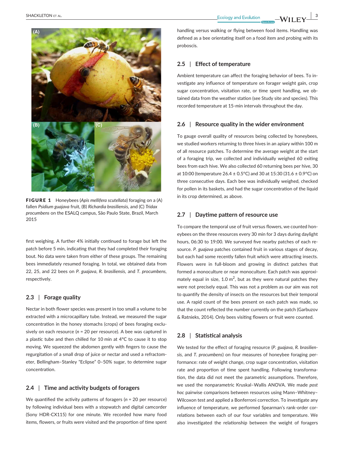



FIGURE 1 Honeybees (*Apis mellifera scutellata*) foraging on a (A) fallen *Psidium guajava* fruit, (B) *Richardia brasiliensis,* and (C) *Tridax procumbens* on the ESALQ campus, São Paulo State, Brazil, March 2015

first weighing. A further 4% initially continued to forage but left the patch before 5 min, indicating that they had completed their foraging bout. No data were taken from either of these groups. The remaining bees immediately resumed foraging. In total, we obtained data from 22, 25, and 22 bees on *P. guajava*, *R. brasiliensis,* and *T. procumbens,* respectively.

#### **2.3** | **Forage quality**

Nectar in both flower species was present in too small a volume to be extracted with a microcapillary tube. Instead, we measured the sugar concentraion in the honey stomachs (crops) of bees foraging exclusively on each resource (*n* = 20 per resource). A bee was captured in a plastic tube and then chilled for 10 min at  $4^{\circ}$ C to cause it to stop moving. We squeezed the abdomen gently with fingers to cause the regurgitation of a small drop of juice or nectar and used a refractometer, Bellingham–Stanley "Eclipse" 0–50% sugar, to determine sugar concentration.

# **2.4** | **Time and acivity budgets of foragers**

We quantified the activity patterns of foragers (*n* = 20 per resource) by following individual bees with a stopwatch and digital camcorder (Sony HDR-CX115) for one minute. We recorded how many food items, flowers, or fruits were visited and the proportion of time spent handling versus walking or flying between food items. Handling was defined as a bee orientating itself on a food item and probing with its proboscis.

# **2.5** | **Efect of temperature**

Ambient temperature can afect the foraging behavior of bees. To investigate any influence of temperature on forager weight gain, crop sugar concentration, visitation rate, or time spent handling, we obtained data from the weather station (see Study site and species). This recorded temperature at 15-min intervals throughout the day.

#### **2.6** | **Resource quality in the wider environment**

To gauge overall quality of resources being collected by honeybees, we studied workers returning to three hives in an apiary within 100 m of all resource patches. To determine the average weight at the start of a foraging trip, we collected and individually weighed 60 exiting bees from each hive. We also collected 60 returning bees per hive, 30 at 10:00 (temperature 26.4 ± 0.5°C) and 30 at 15:30 (31.6 ± 0.9°C) on three consecutive days. Each bee was individually weighed, checked for pollen in its baskets, and had the sugar concentration of the liquid in its crop determined, as above.

# **2.7** | **Dayime patern of resource use**

To compare the temporal use of fruit versus flowers, we counted honeybees on the three resources every 30 min for 3 days during daylight hours, 06:30 to 19:00. We surveyed five nearby patches of each resource. *P. guajava* patches contained fruit in various stages of decay, but each had some recently fallen fruit which were attracting insects. Flowers were in full-bloom and growing in distinct patches that formed a monoculture or near monoculture. Each patch was approximately equal in size, 1.0  $m^2$ , but as they were natural patches they were not precisely equal. This was not a problem as our aim was not to quantify the density of insects on the resources but their temporal use. A rapid count of the bees present on each patch was made, so that the count reflected the number currently on the patch (Garbuzov & Ratnieks, 2014). Only bees visiting flowers or fruit were counted.

#### **2.8** | **Staisical analysis**

We tested for the efect of foraging resource (*P. guajava*, *R. brasiliensis,* and *T. procumbens*) on four measures of honeybee foraging performance: rate of weight change, crop sugar concentration, visitation rate and proportion of time spent handling. Following transformation, the data did not meet the parametric assumptions. Therefore, we used the nonparametric Kruskal–Wallis ANOVA. We made *post hoc* pairwise comparisons between resources using Mann–Whitney– Wilcoxon test and applied a Bonferroni correction. To investigate any influence of temperature, we performed Spearman's rank-order correlations between each of our four variables and temperature. We also investigated the relationship between the weight of foragers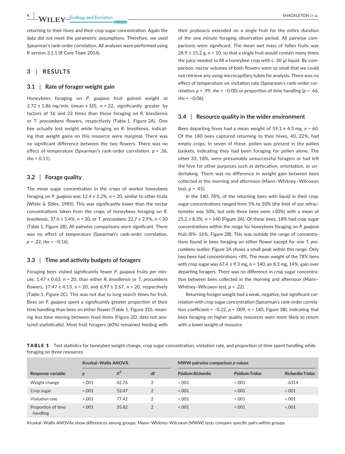#### **3** | **RESULTS**

#### **3.1** | **Rate of forager weight gain**

R version 3.1.1 (R Core Team 2014).

Honeybees foraging on *P. guajava* fruit gained weight at  $2.72 \pm 1.86$  mg/min (mean  $\pm$  SD),  $n = 22$ , significantly greater by factors of 16 and 22 imes than those foraging on *R. brasiliensis* or *T. procumbens* flowers, respectively (Table 1, Figure 2A). One bee actually lost weight while foraging on *R. brasiliensis*, indicating that weight gains on this resource were marginal. There was no significant difference between the two flowers. There was no effect of temperature (Spearman's rank-order correlation,  $p = .36$ , *rho* = 0.11).

## **3.2** | **Forage quality**

The mean sugar concentration in the crops of worker honeybees foraging on *P. guajava* was 12.4 ± 2.2%, *n* = 20, similar to other fruits (White & Stiles, 1985). This was significantly lower than the nectar concentraions taken from the crops of honeybees foraging on *R. brasiliensis*, 37.0 ± 5.4%, *n* = 20, or *T. procumbens* 22.7 ± 2.9%, *n* = 20 (Table 1, Figure 2B). All pairwise comparisons were significant. There was no effect of temperature (Spearman's rank-order correlation, *p* = .22, *rho* = −0.16).

#### **3.3** | **Time and acivity budgets of foragers**

Foraging bees visited significantly fewer *P. guajava* fruits per minute, 1.47 ± 0.63, *n* = 20, than either *R. brasiliensis* or *T. procumbens* lowers, 17.47 ± 4.13, *n* = 20, and 6.97 ± 2.67, *n* = 20, respecively (Table 1, Figure 2C). This was not due to long search imes for fruit. Bees on P. guajava spent a significantly greater proportion of their time handling than bees on either flower (Table 1, Figure 2D), meaning less time moving between food items (Figure 2D, data not analyzed statistically). Most fruit foragers (60%) remained feeding with

their proboscis extended on a single fruit for the entire duration of the one minute foraging observation period. All pairwise comparisons were significant. The mean wet mass of fallen fruits was  $28.9 \pm 15.2$  g,  $n = 10$ , so that a single fruit would contain many times the juice needed to fill a honeybee crop with c. 30 μl liquid. By comparison, nectar volumes of both flowers were so small that we could not retrieve any using microcapillary tubes for analysis. There was no effect of temperature on visitation rate (Spearman's rank-order correlation,  $p = .99$ , *rho* = −0.00) or proportion of time handling ( $p = .66$ , *rho* = −0.06).

#### **3.4** | **Resource quality in the wider environment**

Bees departing hives had a mean weight of  $59.1 \pm 4.3$  mg,  $n = 60$ . Of the 180 bees captured returning to their hives, 40, 22%, had empty crops. In seven of these, pollen was present in the pollen baskets, indicating they had been foraging for pollen alone. The other 33, 18%, were presumably unsuccessful foragers or had left the hive for other purposes such as defecation, orientation, or undertaking. There was no diference in weight gain between bees collected in the morning and aternoon (Mann–Whitney–Wilcoxon test,  $p = .45$ ).

In the 140, 78%, of the returning bees with liquid in their crop, sugar concentrations ranged from 5% to 50% (the limit of our refractometer was 50%, but only three bees were ≥50%) with a mean of 25.2 ± 8.3%, *n* = 140 (Figure 3A). Of these bees, 18% had crop sugar concentraions within the range for honeybees foraging on *P. guajava* fruit (8%–16%, Figure 2B). This was outside the range of concentraions found in bees foraging on either lower except for one *T. procumbens* outlier. Figure 3A shows a small peak within this range. Only two bees had concentraions <8%. The mean weight of the 78% bees with crop sugar was 67.4 ± 9.3 mg, *n* = 140, an 8.3 mg, 14%, gain over departing foragers. There was no difference in crop sugar concentration between bees collected in the morning and afternoon (Mann-Whitney–Wilcoxon test, *p* = .22).

Returning forager weight had a weak, negative, but significant correlation with crop sugar concentration (Spearman's rank-order correlation coefficient =  $-0.22$ ,  $p = .009$ ,  $n = 140$ , Figure 3B), indicating that bees foraging on higher quality resources were more likely to return with a lower weight of resource.

**TABLE 1** Test statistics for honeybee weight change, crop sugar concentration, visitation rate, and proportion of time spent handling while foraging on three resources

|                                | <b>Kruskal-Wallis ANOVA</b> |       |                | MWW pairwise comparison p values |                 |                   |
|--------------------------------|-----------------------------|-------|----------------|----------------------------------|-----------------|-------------------|
| Response variable              | $\boldsymbol{p}$            | $x^2$ | df             | Psidium:Richardia                | Psidium: Tridax | Richardia: Tridax |
| Weight change                  | < 0.001                     | 42.76 | 2              | < 0.001                          | < 0.001         | .6314             |
| Crop sugar                     | < 0.001                     | 52.47 | $\overline{2}$ | 0.001                            | < 0.001         | 0.001             |
| Visitation rate                | < 0.001                     | 77.42 | 2              | < 0.001                          | < 0.001         | < 0.001           |
| Proportion of time<br>handling | < 0.001                     | 35.82 | 2              | < 0.001                          | 0.001           | < .001            |

Kruskal–Wallis ANOVAs show diferences among groups. Mann–Whitney- Wilcoxon (MWW) tests compare speciic pairs within groups.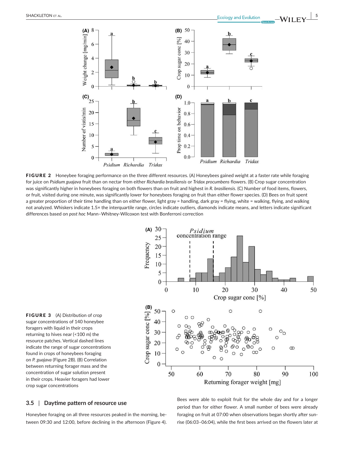

FIGURE 2 Honeybee foraging performance on the three different resources. (A) Honeybees gained weight at a faster rate while foraging for juice on *Psidium guajava* fruit than on nectar from either *Richardia brasiliensis* or *Tridax procumbens* flowers. (B) Crop sugar concentration was significantly higher in honeybees foraging on both flowers than on fruit and highest in *R. brasiliensis*. (C) Number of food items, flowers, or fruit, visited during one minute, was significantly lower for honeybees foraging on fruit than either flower species. (D) Bees on fruit spent a greater proportion of their time handling than on either flower, light gray = handling, dark gray = flying, white = walking, flying, and walking not analyzed. Whiskers indicate 1.5× the interquartile range, circles indicate outliers, diamonds indicate means, and letters indicate significant differences based on *post hoc* Mann–Whitney- Wilcoxon test with Bonferroni correction



FIGURE 3 (A) Distribution of crop sugar concentrations of 140 honeybee foragers with liquid in their crops returning to hives near (<100 m) the resource patches. Vertical dashed lines indicate the range of sugar concentrations found in crops of honeybees foraging on *P. guajava* (Figure 2B). (B) Correlation between returning forager mass and the concentration of sugar solution present in their crops. Heavier foragers had lower crop sugar concentrations

# **3.5** | **Dayime patern of resource use**

Honeybee foraging on all three resources peaked in the morning, between 09:30 and 12:00, before declining in the afternoon (Figure 4).

Bees were able to exploit fruit for the whole day and for a longer period than for either flower. A small number of bees were already foraging on fruit at 07:00 when observations began shortly after sunrise (06:03-06:04), while the first bees arrived on the flowers later at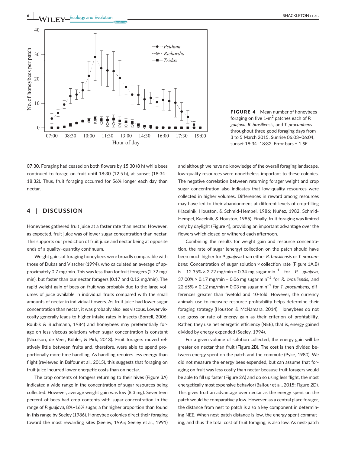

FIGURE 4 Mean number of honeybees foraging on five 1-m<sup>2</sup> patches each of P. *guajava*, *R. brasiliensis,* and *T. procumbens* throughout three good foraging days from 3 to 5 March 2015. Sunrise 06:03–06:04, sunset 18:34–18:32. Error bars ± 1 *SE*

07:30. Foraging had ceased on both flowers by 15:30 (8 h) while bees continued to forage on fruit until 18:30 (12.5 h), at sunset (18:34-18:32). Thus, fruit foraging occurred for 56% longer each day than nectar.

#### **4** | **DISCUSSION**

Honeybees gathered fruit juice at a faster rate than nectar. However, as expected, fruit juice was of lower sugar concentraion than nectar. This supports our predicion of fruit juice and nectar being at opposite ends of a quality-quantity continuum.

Weight gains of foraging honeybees were broadly comparable with those of Dukas and Visscher (1994), who calculated an average of approximately 0.7 mg/min. This was less than for fruit foragers (2.72 mg/ min), but faster than our nectar foragers (0.17 and 0.12 mg/min). The rapid weight gain of bees on fruit was probably due to the large volumes of juice available in individual fruits compared with the small amounts of nectar in individual flowers. As fruit juice had lower sugar concentraion than nectar, it was probably also less viscous. Lower viscosity generally leads to higher intake rates in insects (Borrell, 2006; Roubik & Buchmann, 1984) and honeybees may preferenially forage on less viscous solutions when sugar concentration is constant (Nicolson, de Veer, Köhler, & Pirk, 2013). Fruit foragers moved relatively little between fruits and, therefore, were able to spend proportionally more time handling. As handling requires less energy than flight (reviewed in Balfour et al., 2015), this suggests that foraging on fruit juice incurred lower energetic costs than on nectar.

The crop contents of foragers returning to their hives (Figure 3A) indicated a wide range in the concentraion of sugar resources being collected. However, average weight gain was low (8.3 mg). Seventeen percent of bees had crop contents with sugar concentration in the range of *P. guajava*, 8%–16% sugar, a far higher proporion than found in this range by Seeley (1986). Honeybee colonies direct their foraging toward the most rewarding sites (Seeley, 1995; Seeley et al., 1991)

and although we have no knowledge of the overall foraging landscape, low- quality resources were nonetheless important to these colonies. The negative correlation between returning forager weight and crop sugar concentration also indicates that low-quality resources were collected in higher volumes. Diferences in reward among resources may have led to their abandonment at different levels of crop-filling (Kacelnik, Houston, & Schmid- Hempel, 1986; Nuñez, 1982; Schmid-Hempel, Kacelnik, & Houston, 1985). Finally, fruit foraging was limited only by daylight (Figure 4), providing an important advantage over the flowers which closed or withered each afternoon.

Combining the results for weight gain and resource concentration, the rate of sugar (energy) collection on the patch should have been much higher for *P. guajava* than either *R. brasiliensis* or *T. procumbens*: Concentration of sugar solution × collection rate (Figure 1A,B) is 12.35% × 2.72 mg/min = 0.34 mg sugar min−1 for *P. guajava*, 37.00% × 0.17 mg/min = 0.06 mg sugar min−1 for *R. brasiliensis*, and 22.65% × 0.12 mg/min = 0.03 mg sugar min−1 for *T. procumbens*, differences greater than fivefold and 10-fold. However, the currency animals use to measure resource profitability helps determine their foraging strategy (Houston & McNamara, 2014). Honeybees do not use gross or rate of energy gain as their criterion of profitability. Rather, they use net energetic efficiency (NEE), that is, energy gained divided by energy expended (Seeley, 1994).

For a given volume of solution collected, the energy gain will be greater on nectar than fruit (Figure 2B). The cost is then divided between energy spent on the patch and the commute (Pyke, 1980). We did not measure the energy bees expended, but can assume that foraging on fruit was less costly than nectar because fruit foragers would be able to fill up faster (Figure 2A) and do so using less flight, the most energetically most expensive behavior (Balfour et al., 2015; Figure 2D). This gives fruit an advantage over nectar as the energy spent on the patch would be comparatively low. However, as a central place forager, the distance from nest to patch is also a key component in determining NEE. When nest-patch distance is low, the energy spent commuting, and thus the total cost of fruit foraging, is also low. As nest-patch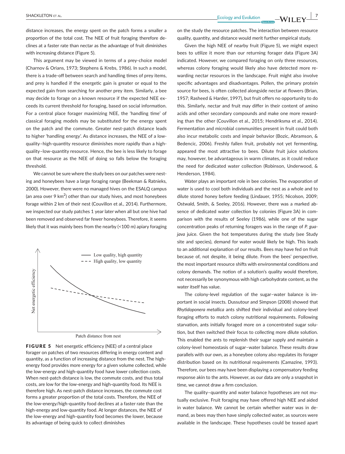distance increases, the energy spent on the patch forms a smaller a proportion of the total cost. The NEE of fruit foraging therefore declines at a faster rate than nectar as the advantage of fruit diminishes with increasing distance (Figure 5).

This argument may be viewed in terms of a prey-choice model (Charnov & Orians, 1973; Stephens & Krebs, 1986). In such a model, there is a trade-off between search and handling times of prey items, and prey is handled if the energetic gain is greater or equal to the expected gain from searching for another prey item. Similarly, a bee may decide to forage on a known resource if the expected NEE exceeds its current threshold for foraging, based on social informaion. For a central place forager maximizing NEE, the 'handling time' of classical foraging models may be subsituted for the energy spent on the patch and the commute. Greater nest- patch distance leads to higher 'handling energy'. As distance increases, the NEE of a lowquality–high- quanity resource diminishes more rapidly than a highquality-low-quantity resource. Hence, the bee is less likely to forage on that resource as the NEE of doing so falls below the foraging threshold.

We cannot be sure where the study bees on our patches were nesting and honeybees have a large foraging range (Beekman & Ratnieks, 2000). However, there were no managed hives on the ESALQ campus (an area over 9 km $^2$ ) other than our study hives, and most honeybees forage within 2 km of their nest (Couvillon et al., 2014). Furthermore, we inspected our study patches 1 year later when all but one hive had been removed and observed far fewer honeybees. Therefore, it seems likely that it was mainly bees from the nearby (<100 m) apiary foraging



FIGURE 5 Net energetic efficiency (NEE) of a central place forager on patches of two resources differing in energy content and quantity, as a function of increasing distance from the nest. The highenergy food provides more energy for a given volume collected, while the low-energy and high-quantity food have lower collection costs. When nest-patch distance is low, the commute costs, and thus total costs, are low for the low-energy and high-quantity food. Its NEE is therefore high. As nest-patch distance increases, the commute cost forms a greater proportion of the total costs. Therefore, the NEE of the low-energy/high-quantity food declines at a faster rate than the high-energy and low-quantity food. At longer distances, the NEE of the low-energy and high-quantity food becomes the lower, because its advantage of being quick to collect diminishes

on the study the resource patches. The interacion between resource quality, quantity, and distance would merit further empirical study.

Given the high NEE of nearby fruit (Figure 5), we might expect bees to utilize it more than our returning forager data (Figure 3A) indicated. However, we compared foraging on only three resources, whereas colony foraging would likely also have detected more rewarding nectar resources in the landscape. Fruit might also involve specific advantages and disadvantages. Pollen, the primary protein source for bees, is often collected alongside nectar at flowers (Brian, 1957; Rasheed & Harder, 1997), but fruit offers no opportunity to do this. Similarly, nectar and fruit may difer in their content of amino acids and other secondary compounds and make one more rewarding than the other (Couvillon et al., 2015; Hendriksma et al., 2014). Fermentation and microbial communities present in fruit could both also incur metabolic costs and impair behavior (Bozic, Abramson, & Bedencic, 2006). Freshly fallen fruit, probably not yet fermenting, appeared the most attractive to bees. Dilute fruit juice solutions may, however, be advantageous in warm climates, as it could reduce the need for dedicated water collection (Robinson, Underwood, & Henderson, 1984).

Water plays an important role in bee colonies. The evaporation of water is used to cool both individuals and the nest as a whole and to dilute stored honey before feeding (Lindauer, 1955; Nicolson, 2009; Ostwald, Smith, & Seeley, 2016). However, there was a marked absence of dedicated water collection by colonies (Figure 3A) in comparison with the results of Seeley (1986), while one of the sugar concentraion peaks of returning foragers was in the range of *P. guajava* juice. Given the hot temperatures during the study (see Study site and species), demand for water would likely be high. This leads to an additional explanation of our results. Bees may have fed on fruit because of, not despite, it being dilute. From the bees' perspecive, the most important resource shifts with environmental conditions and colony demands. The notion of a solution's quality would therefore, not necessarily be synonymous with high carbohydrate content, as the water itself has value.

The colony-level regulation of the sugar-water balance is important in social insects. Dussutour and Simpson (2008) showed that *Rhyidoponera metallica* ants shited their individual and colony- level foraging efforts to match colony nutritional requirements. Following starvation, ants initially foraged more on a concentrated sugar solution, but then switched their focus to collecting more dilute solution. This enabled the ants to replenish their sugar supply and maintain a colony- level homeostasis of sugar–water balance. These results draw parallels with our own, as a honeybee colony also regulates its forager distribution based on its nutritional requirements (Camazine, 1993). Therefore, our bees may have been displaying a compensatory feeding response akin to the ants. However, as our data are only a snapshot in time, we cannot draw a firm conclusion.

The quality-quantity and water balance hypotheses are not mutually exclusive. Fruit foraging may have ofered high NEE and aided in water balance. We cannot be certain whether water was in demand, as bees may then have simply collected water, as sources were available in the landscape. These hypotheses could be teased apart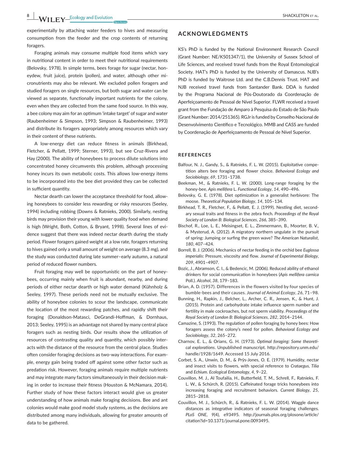experimentally by attaching water feeders to hives and measuring consumpion from the feeder and the crop contents of returning foragers.

Foraging animals may consume multiple food items which vary in nutritional content in order to meet their nutritional requirements (Belovsky, 1978). In simple terms, bees forage for sugar (nectar, honeydew, fruit juice), protein (pollen), and water, although other micronutrients may also be relevant. We excluded pollen foragers and studied foragers on single resources, but both sugar and water can be viewed as separate, functionally important nutrients for the colony, even when they are collected from the same food source. In this way, a bee colony may aim for an optimum 'intake target' of sugar and water (Raubenheimer & Simpson, 1993; Simpson & Raubenheimer, 1993) and distribute its foragers appropriately among resources which vary in their content of these nutrients.

A low-energy diet can reduce fitness in animals (Birkhead, Fletcher, & Pellatt, 1999; Sterner, 1993), but see Cruz-Rivera and Hay (2000). The ability of honeybees to process dilute solutions into concentrated honey circumvents this problem, although processing honey incurs its own metabolic costs. This allows low-energy items to be incorporated into the bee diet provided they can be collected in sufficient quantity.

Nectar dearth can lower the acceptance threshold for food, allowing honeybees to consider less rewarding or risky resources (Seeley, 1994) including robbing (Downs & Ratnieks, 2000). Similarly, nesing birds may provision their young with lower quality food when demand is high (Wright, Both, Cotton, & Bryant, 1998). Several lines of evidence suggest that there was indeed nectar dearth during the study period. Flower foragers gained weight at a low rate, foragers returning to hives gained only a small amount of weight on average (8.3 mg), and the study was conducted during late summer–early autumn, a natural period of reduced flower numbers.

Fruit foraging may well be opportunistic on the part of honeybees, occurring mainly when fruit is abundant, nearby, and during periods of either nectar dearth or high water demand (Kühnholz & Seeley, 1997). These periods need not be mutually exclusive. The ability of honeybee colonies to scour the landscape, communicate the location of the most rewarding patches, and rapidly shift their foraging (Donaldson-Matasci, DeGrandi-Hoffman, & Dornhaus, 2013; Seeley, 1995) is an advantage not shared by many central place foragers such as nesting birds. Our results show the utilization of resources of contrasting quality and quantity, which possibly interacts with the distance of the resource from the central place. Studies often consider foraging decisions as two-way interactions. For example, energy gain being traded off against some other factor such as predation risk. However, foraging animals require multiple nutrients and may integrate many factors simultaneously in their decision making in order to increase their fitness (Houston & McNamara, 2014). Further study of how these factors interact would give us greater understanding of how animals make foraging decisions. Bee and ant colonies would make good model study systems, as the decisions are distributed among many individuals, allowing for greater amounts of data to be gathered.

# **ACKNOWLEDGMENTS**

KS's PhD is funded by the National Environment Research Council (Grant Number: NE/K501347/1), the University of Sussex School of Life Sciences, and received travel funds from the Royal Entomological Society. HAT's PhD is funded by the University of Damascus. NJB's PhD is funded by Waitrose Ltd. and the C.B.Dennis Trust. HAT and NJB received travel funds from Santander Bank. DDA is funded by the Programa Nacional de Pós- Doutorado da Coordenação de Aperfeiçoamento de Pessoal de Nível Superior. FLWR received a travel grant from the Fundação de Amparo à Pesquisa do Estado de São Paulo (Grant Number: 2014/251365). RGJr is funded by Conselho Nacional de Desenvolvimento Científico e Tecnológico. MMB and CASS are funded by Coordenação de Aperfeiçoamento de Pessoal de Nível Superior.

#### **REFERENCES**

- Balfour, N. J., Gandy, S., & Ratnieks, F. L. W. (2015). Exploitative competition alters bee foraging and flower choice. Behavioral Ecology and *Sociobiology*, *69*, 1731–1738.
- Beekman, M., & Ratnieks, F. L. W. (2000). Long-range foraging by the honey- bee, *Apis mellifera* L. *Funcional Ecology*, *14*, 490–496.
- Belovsky, G. E. (1978). Diet opimizaion in a generalist herbivore: The moose. *Theoreical Populaion Biology*, *14*, 105–134.
- Birkhead, T. R., Fletcher, F., & Pellat, E. J. (1999). Nestling diet, secondary sexual traits and fitness in the zebra finch. *Proceedings of the Royal Society of London B: Biological Sciences*, *266*, 385–390.
- Bischof, R., Loe, L. E., Meisingset, E. L., Zimmermann, B., Moorter, B. V., & Mysterud, A. (2012). A migratory northern ungulate in the pursuit of spring: Jumping or suring the green wave? *The American Naturalist*, *180*, 407–424.
- Borrell, B. J. (2006). Mechanics of nectar feeding in the orchid bee *Euglossa imperialis*: Pressure, viscosity and flow. Journal of Experimental Biology, *209*, 4901–4907.
- Bozic, J., Abramson, C. I., & Bedencic, M. (2006). Reduced ability of ethanol drinkers for social communicaion in honeybees (*Apis mellifera carnica* Poll.). *Alcohol*, *38*, 179–183.
- Brian, A. D. (1957). Differences in the flowers visited by four species of bumble- bees and their causes. *Journal of Animal Ecology*, *26*, 71–98.
- Bunning, H., Rapkin, J., Belcher, L., Archer, C. R., Jensen, K., & Hunt, J. (2015). Protein and carbohydrate intake influence sperm number and ferility in male cockroaches, but not sperm viability. *Proceedings of the Royal Society of London B: Biological Sciences*, *282*, 2014–2144.
- Camazine, S. (1993). The regulation of pollen foraging by honey bees: How foragers assess the colony's need for pollen. *Behavioral Ecology and Sociobiology*, *32*, 265–272.
- Charnov, E. L., & Orians, G. H. (1973). *Opimal foraging: Some theoreical exploraions*. Unpublished manuscript. [htp://repository.unm.edu/](http://repository.unm.edu/handle/1928/1649) [handle/1928/1649](http://repository.unm.edu/handle/1928/1649). Accessed 15 July 2016.
- Corbet, S. A., Unwin, D. M., & Prŷs-Jones, O. E. (1979). Humidity, nectar and insect visits to flowers, with special reference to *Crataegus*, Tilia and *Echium*. *Ecological Entomology*, *4*, 9–22.
- Couvillon, M. J., Al Toufailia, H., Butterfield, T. M., Schrell, F., Ratnieks, F. L. W., & Schürch, R. (2015). Cafeinated forage tricks honeybees into increasing foraging and recruitment behaviors. *Current Biology*, *25*, 2815–2818.
- Couvillon, M. J., Schürch, R., & Ratnieks, F. L. W. (2014). Waggle dance distances as integrative indicators of seasonal foraging challenges. *PLoS ONE*, *9*(4), e93495. [htp://journals.plos.org/plosone/aricle/](http://journals.plos.org/plosone/article/citation?id=10.1371/journal.pone.0093495.) citation?id=10.1371/journal.pone.0093495.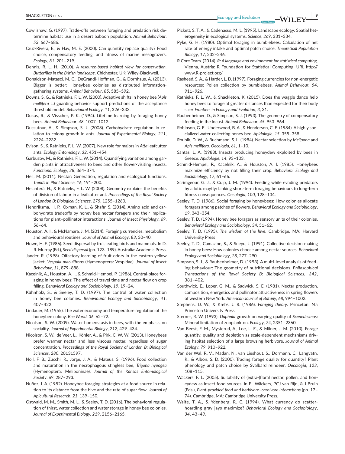- Cowlishaw, G. (1997). Trade-offs between foraging and predation risk determine habitat use in a desert baboon population. Animal Behaviour, *53*, 667–686.
- Cruz-Rivera, E., & Hay, M. E. (2000). Can quanity replace quality? Food choice, compensatory feeding, and fitness of marine mesograzers. *Ecology*, *81*, 201–219.
- Dennis, R. L. H. (2010). *A resource-based habitat view for conservaion. Buterlies in the Briish landscape*. Chichester, UK: Wiley-Blackwell.
- Donaldson-Matasci, M. C., DeGrandi-Hofman, G., & Dornhaus, A. (2013). Bigger is better: Honeybee colonies as distributed informationgathering systems. *Animal Behaviour*, *85*, 585–592.
- Downs, S. G., & Ratnieks, F. L. W. (2000). Adapive shits in honey bee (*Apis mellifera* L.) guarding behavior support predicions of the acceptance threshold model. *Behavioural Ecology*, *11*, 326–333.
- Dukas, R., & Visscher, P. K. (1994). Lifeime learning by foraging honey bees. *Animal Behaviour*, *48*, 1007–1012.
- Dussutour, A., & Simpson, S. J. (2008). Carbohydrate regulation in relation to colony growth in ants. Journal of Experimental Biology, 211, 2224–2232.
- Evison, S., & Ratnieks, F. L. W. (2007). New role for majors in *Ata* leafcuter ants. *Ecology Entomology*, *32*, 451–454.
- Garbuzov, M., & Ratnieks, F. L. W. (2014). Quantifying variation among garden plants in attractiveness to bees and other flower-visiting insects. *Funcional Ecology*, *28*, 364–374.
- Heil, M. (2011). Nectar: Generation, regulation and ecological functions. *Trends in Plant Science*, *16*, 191–200.
- Helanterä, H., & Ratnieks, F. L. W. (2008). Geometry explains the benefits of division of labour in a leafcuter ant. *Proceedings of the Royal Society of London B: Biological Sciences*, *275*, 1255–1260.
- Hendriksma, H. P., Oxman, K. L., & Shafir, S. (2014). Amino acid and carbohydrate tradeofs by honey bee nectar foragers and their implicaions for plant–pollinator interacions. *Journal of Insect Physiology*, *69*, 56–64.
- Houston, A. I., & McNamara, J. M. (2014). Foraging currencies, metabolism and behavioural routines. Journal of Animal Ecology, 83, 30-40.
- Howe, H. F. (1986). Seed dispersal by fruit-eating birds and mammals. In D. R. Murray (Ed.), *Seed dispersal* (pp. 123–189). Australia: Academic Press.
- Jander, R. (1998). Olfactory learning of fruit odors in the eastern yellow jacket, *Vespula maculifrons* (Hymenoptera: Vespidae). *Journal of Insect Behaviour*, *11*, 879–888.
- Kacelnik, A., Houston, A. I., & Schmid-Hempel, P. (1986). Central- place foraging in honey bees: The effect of travel time and nectar flow on crop illing. *Behavioral Ecology and Sociobiology*, *19*, 19–24.
- Kühnholz, S., & Seeley, T. D. (1997). The control of water collecion in honey bee colonies. *Behavioural Ecology and Sociobiology*, *41*, 407–422.
- Lindauer, M. (1955). The water economy and temperature regulation of the honeybee colony. *Bee World*, *36*, 62–72.
- Nicolson, S. W. (2009). Water homeostasis in bees, with the emphasis on sociality. *Journal of Experimental Biology*, *212*, 429–434.
- Nicolson, S. W., de Veer, L., Köhler, A., & Pirk, C. W. W. (2013). Honeybees prefer warmer nectar and less viscous nectar, regardless of sugar concentraion. *Proceedings of the Royal Society of London B: Biological Sciences*, *280*, 20131597.
- Noll, F. B., Zucchi, R., Jorge, J. A., & Mateus, S. (1996). Food collecion and maturation in the necrophagous stingless bee, *Trigona hypogea* (Hymenoptera: Meliponinae). *Journal of the Kansas Entomological Society*, *69*, 287–293.
- Nuñez, J. A. (1982). Honeybee foraging strategies at a food source in relation to its distance from the hive and the rate of sugar flow. *Journal of Apicultural Research*, *21*, 139–150.
- Ostwald, M. M., Smith, M. L., & Seeley, T. D. (2016). The behavioral regulation of thirst, water collection and water storage in honey bee colonies. *Journal of Experimental Biology*, *219*, 2156–2165.
- Pickett, S. T. A., & Cadenasso, M. L. (1995). Landscape ecology: Spatial heterogeneity in ecological systems. *Science*, *269*, 331–334.
- Pyke, G. H. (1980). Optimal foraging in bumblebees: Calculation of net rate of energy intake and opimal patch choice. *Theoreical Populaion Biology*, *17*, 232–246.
- R Core Team. (2014). *R: A language and environment for staisical compuing*. Vienna, Austria: R Foundation for Statistical Computing. URL http:// [www.R-project.org/](http://www.R-project.org/)
- Rasheed, S. A., & Harder, L. D. (1997). Foraging currencies for non- energeic resources: Pollen collecion by bumblebees. *Animal Behaviour*, *54*, 911–926.
- Ratnieks, F. L. W., & Shackleton, K. (2015). Does the waggle dance help honey bees to forage at greater distances than expected for their body size? *Froniers in Ecology and Evoluion*, *3*, 31.
- Raubenheimer, D., & Simpson, S. J. (1993). The geometry of compensatory feeding in the locust. *Animal Behaviour*, *45*, 953–964.
- Robinson, G. E., Underwood, B. A., & Henderson, C. E. (1984). A highly specialized water- collecing honey bee. *Apidologie*, *15*, 355–358.
- Roubik, D. W., & Buchmann, S. L. (1984). Nectar selecion by *Melipona* and *Apis mellifera*. *Oecologia*, *61*, 1–10.
- Santas, L. A. (1983). Insects producing honeydew exploited by bees in Greece. *Apidologie*, *14*, 93–103.
- Schmid-Hempel, P., Kacelnik, A., & Houston, A. I. (1985). Honeybees maximize efficiency by not filling their crop. Behavioral Ecology and *Sociobiology*, *17*, 61–66.
- Scrimgeour, G. J., & Culp, J. M. (1994). Feeding while evading predators by a lotic mayfly: Linking short-term foraging behaviours to long-term fitness consequences. Oecologia, 100, 128-134.
- Seeley, T. D. (1986). Social foraging by honeybees: How colonies allocate foragers among patches of lowers. *Behavioral Ecology and Sociobiology*, *19*, 343–354.
- Seeley, T. D. (1994). Honey bee foragers as sensory units of their colonies. *Behavioral Ecology and Sociobiology*, *34*, 51–62.
- Seeley, T. D. (1995). *The wisdom of the hive*. Cambridge, MA: Harvard University Press
- Seeley, T. D., Camazine, S., & Sneyd, J. (1991). Collective decision-making in honey bees: How colonies choose among nectar sources. *Behavioral Ecology and Sociobiology*, *28*, 277–290.
- Simpson, S. J., & Raubenheimer, D. (1993). A multi- level analysis of feeding behaviour: The geometry of nutritional decisions. *Philosophical Transactions of the Royal Society B: Biological Sciences*, *342*, 381–402.
- Southwick, E., Loper, G. M., & Sadwick, S. E. (1981). Nectar producion, composition, energetics and pollinator attractiveness in spring flowers of western New York. *American Journal of Botany*, *68*, 994–1002.
- Stephens, D. W., & Krebs, J. R. (1986). *Foraging theory*. Princeton, NJ: Princeton University Press.
- Sterner, R. W. (1993). *Daphnia* growth on varying quality of *Scenedesmus*: Mineral limitaion of zooplankton. *Ecology*, *74*, 2351–2360.
- Van Beest, F. M., Mysterud, A., Loe, L. E., & Milner, J. M. (2010). Forage quantity, quality and depletion as scale-dependent mechanisms driving habitat selecion of a large browsing herbivore. *Journal of Animal Ecology*, *79*, 910–922.
- Van der Wal, R. V., Madan, N., van Lieshout, S., Dormann, C., Langvatn, R., & Albon, S. D. (2000). Trading forage quality for quantity? Plant phenology and patch choice by Svalbard reindeer. *Oecologia*, *123*, 108–115.
- Wäckers, F. L. (2005). Suitability of (extra-)floral nectar, pollen, and honeydew as insect food sources. In FL Wäckers, PCJ van Rijn, & J Bruin (Eds.), *Plant-provided food and herbivore–carnivore interacions* (pp. 17– 74). Cambridge, MA: Cambridge University Press.
- Waite, T. A., & Ydenberg, R. C. (1994). What currency do scatterhoarding gray jays maximize? *Behavioral Ecology and Sociobiology*, *34*, 43–49.